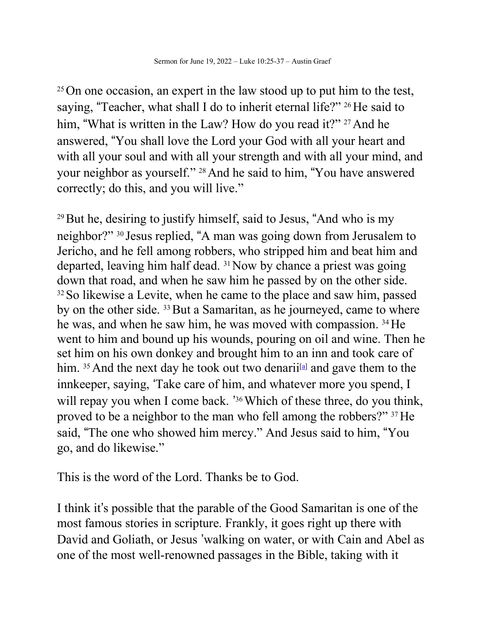<sup>25</sup>On one occasion, an expert in the law stood up to put him to the test, saying, "Teacher, what shall I do to inherit eternal life?" <sup>26</sup>He said to him, "What is written in the Law? How do you read it?" <sup>27</sup> And he answered, !You shall love the Lord your God with all your heart and with all your soul and with all your strength and with all your mind, and your neighbor as yourself." <sup>28</sup> And he said to him, "You have answered correctly; do this, and you will live."

 $29$  But he, desiring to justify himself, said to Jesus, "And who is my neighbor?" <sup>30</sup> Jesus replied, !A man was going down from Jerusalem to Jericho, and he fell among robbers, who stripped him and beat him and departed, leaving him half dead.  $31$  Now by chance a priest was going down that road, and when he saw him he passed by on the other side. <sup>32</sup> So likewise a Levite, when he came to the place and saw him, passed by on the other side. <sup>33</sup> But a Samaritan, as he journeyed, came to where he was, and when he saw him, he was moved with compassion. <sup>34</sup> He went to him and bound up his wounds, pouring on oil and wine. Then he set him on his own donkey and brought him to an inn and took care of him.  $35$  And the next day he took out two denarii<sup>[a]</sup> and gave them to the innkeeper, saying, "Take care of him, and whatever more you spend, I will repay you when I come back. '<sup>36</sup> Which of these three, do you think, proved to be a neighbor to the man who fell among the robbers?" 37He said, "The one who showed him mercy." And Jesus said to him, "You go, and do likewise."

This is the word of the Lord. Thanks be to God.

I think it's possible that the parable of the Good Samaritan is one of the most famous stories in scripture. Frankly, it goes right up there with David and Goliath, or Jesus 'walking on water, or with Cain and Abel as one of the most well-renowned passages in the Bible, taking with it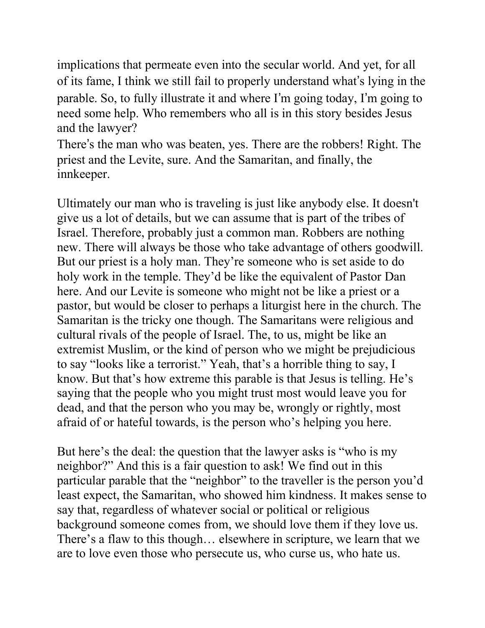implications that permeate even into the secular world. And yet, for all of its fame, I think we still fail to properly understand what's lying in the parable. So, to fully illustrate it and where I'm going today, I'm going to need some help. Who remembers who all is in this story besides Jesus and the lawyer?

There's the man who was beaten, yes. There are the robbers! Right. The priest and the Levite, sure. And the Samaritan, and finally, the innkeeper.

Ultimately our man who is traveling is just like anybody else. It doesn't give us a lot of details, but we can assume that is part of the tribes of Israel. Therefore, probably just a common man. Robbers are nothing new. There will always be those who take advantage of others goodwill. But our priest is a holy man. They're someone who is set aside to do holy work in the temple. They'd be like the equivalent of Pastor Dan here. And our Levite is someone who might not be like a priest or a pastor, but would be closer to perhaps a liturgist here in the church. The Samaritan is the tricky one though. The Samaritans were religious and cultural rivals of the people of Israel. The, to us, might be like an extremist Muslim, or the kind of person who we might be prejudicious to say "looks like a terrorist." Yeah, that's a horrible thing to say, I know. But that's how extreme this parable is that Jesus is telling. He's saying that the people who you might trust most would leave you for dead, and that the person who you may be, wrongly or rightly, most afraid of or hateful towards, is the person who's helping you here.

But here's the deal: the question that the lawyer asks is "who is my neighbor?" And this is a fair question to ask! We find out in this particular parable that the "neighbor" to the traveller is the person you'd least expect, the Samaritan, who showed him kindness. It makes sense to say that, regardless of whatever social or political or religious background someone comes from, we should love them if they love us. There's a flaw to this though… elsewhere in scripture, we learn that we are to love even those who persecute us, who curse us, who hate us.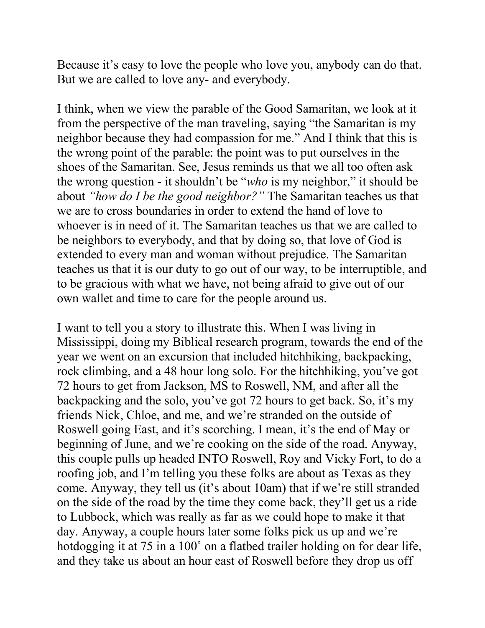Because it's easy to love the people who love you, anybody can do that. But we are called to love any- and everybody.

I think, when we view the parable of the Good Samaritan, we look at it from the perspective of the man traveling, saying "the Samaritan is my neighbor because they had compassion for me." And I think that this is the wrong point of the parable: the point was to put ourselves in the shoes of the Samaritan. See, Jesus reminds us that we all too often ask the wrong question - it shouldn't be "*who* is my neighbor," it should be about *"how do I be the good neighbor?"* The Samaritan teaches us that we are to cross boundaries in order to extend the hand of love to whoever is in need of it. The Samaritan teaches us that we are called to be neighbors to everybody, and that by doing so, that love of God is extended to every man and woman without prejudice. The Samaritan teaches us that it is our duty to go out of our way, to be interruptible, and to be gracious with what we have, not being afraid to give out of our own wallet and time to care for the people around us.

I want to tell you a story to illustrate this. When I was living in Mississippi, doing my Biblical research program, towards the end of the year we went on an excursion that included hitchhiking, backpacking, rock climbing, and a 48 hour long solo. For the hitchhiking, you've got 72 hours to get from Jackson, MS to Roswell, NM, and after all the backpacking and the solo, you've got 72 hours to get back. So, it's my friends Nick, Chloe, and me, and we're stranded on the outside of Roswell going East, and it's scorching. I mean, it's the end of May or beginning of June, and we're cooking on the side of the road. Anyway, this couple pulls up headed INTO Roswell, Roy and Vicky Fort, to do a roofing job, and I'm telling you these folks are about as Texas as they come. Anyway, they tell us (it's about 10am) that if we're still stranded on the side of the road by the time they come back, they'll get us a ride to Lubbock, which was really as far as we could hope to make it that day. Anyway, a couple hours later some folks pick us up and we're hotdogging it at 75 in a 100° on a flatbed trailer holding on for dear life, and they take us about an hour east of Roswell before they drop us off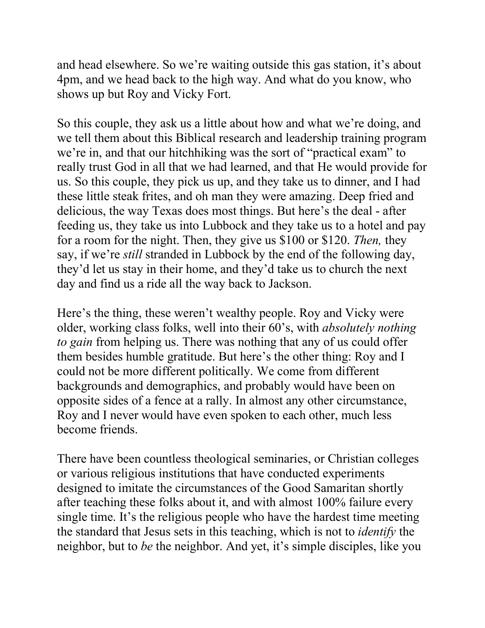and head elsewhere. So we're waiting outside this gas station, it's about 4pm, and we head back to the high way. And what do you know, who shows up but Roy and Vicky Fort.

So this couple, they ask us a little about how and what we're doing, and we tell them about this Biblical research and leadership training program we're in, and that our hitchhiking was the sort of "practical exam" to really trust God in all that we had learned, and that He would provide for us. So this couple, they pick us up, and they take us to dinner, and I had these little steak frites, and oh man they were amazing. Deep fried and delicious, the way Texas does most things. But here's the deal - after feeding us, they take us into Lubbock and they take us to a hotel and pay for a room for the night. Then, they give us \$100 or \$120. *Then,* they say, if we're *still* stranded in Lubbock by the end of the following day, they'd let us stay in their home, and they'd take us to church the next day and find us a ride all the way back to Jackson.

Here's the thing, these weren't wealthy people. Roy and Vicky were older, working class folks, well into their 60's, with *absolutely nothing to gain* from helping us. There was nothing that any of us could offer them besides humble gratitude. But here's the other thing: Roy and I could not be more different politically. We come from different backgrounds and demographics, and probably would have been on opposite sides of a fence at a rally. In almost any other circumstance, Roy and I never would have even spoken to each other, much less become friends.

There have been countless theological seminaries, or Christian colleges or various religious institutions that have conducted experiments designed to imitate the circumstances of the Good Samaritan shortly after teaching these folks about it, and with almost 100% failure every single time. It's the religious people who have the hardest time meeting the standard that Jesus sets in this teaching, which is not to *identify* the neighbor, but to *be* the neighbor. And yet, it's simple disciples, like you